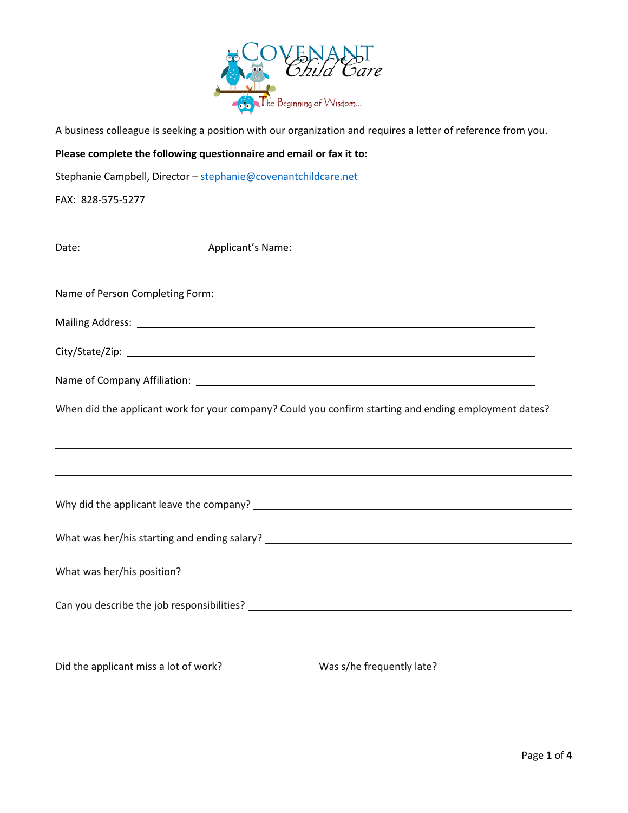

A business colleague is seeking a position with our organization and requires a letter of reference from you.

## **Please complete the following questionnaire and email or fax it to:**

Stephanie Campbell, Director – [stephanie@covenantchildcare.net](mailto:stephanie@covenantchildcare.net)

FAX: 828-575-5277

|  | When did the applicant work for your company? Could you confirm starting and ending employment dates? |  |
|--|-------------------------------------------------------------------------------------------------------|--|
|  |                                                                                                       |  |
|  |                                                                                                       |  |
|  |                                                                                                       |  |
|  |                                                                                                       |  |
|  |                                                                                                       |  |
|  |                                                                                                       |  |
|  |                                                                                                       |  |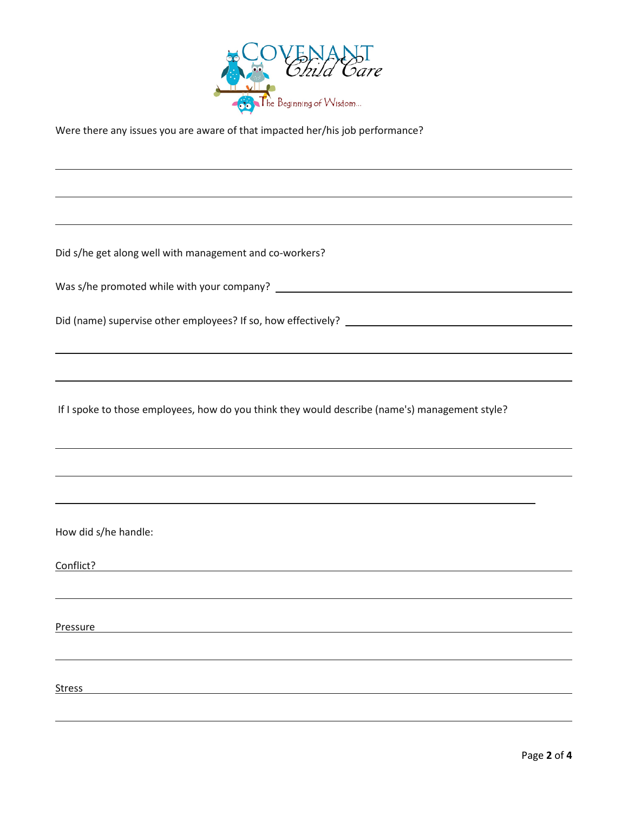

Were there any issues you are aware of that impacted her/his job performance?

Did s/he get along well with management and co-workers?

Was s/he promoted while with your company?

Did (name) supervise other employees? If so, how effectively?

If I spoke to those employees, how do you think they would describe (name's) management style?

How did s/he handle:

Conflict?

Pressure **Pressure** 

Stress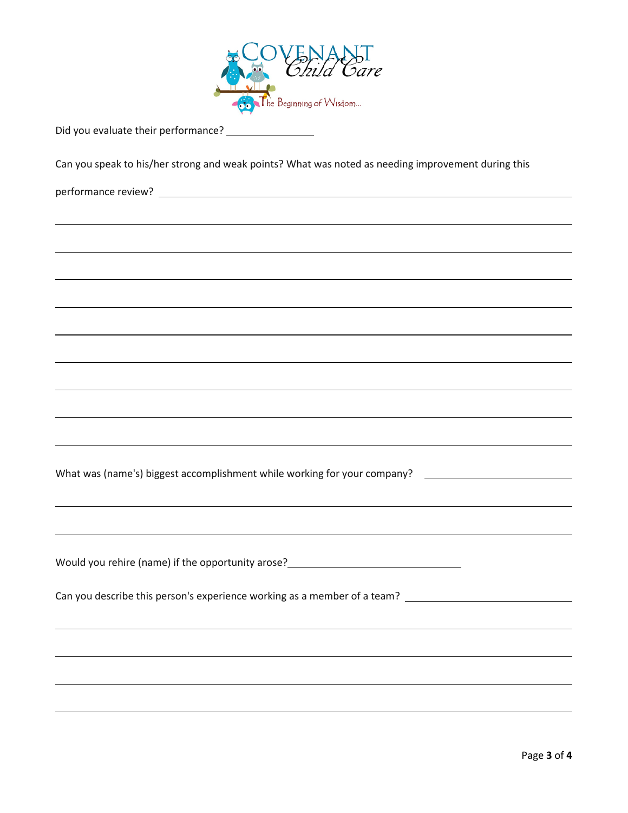

|  | Did you evaluate their performance? |
|--|-------------------------------------|
|--|-------------------------------------|

Can you speak to his/her strong and weak points? What was noted as needing improvement during this

performance review?

What was (name's) biggest accomplishment while working for your company?

Would you rehire (name) if the opportunity arose?

Can you describe this person's experience working as a member of a team?